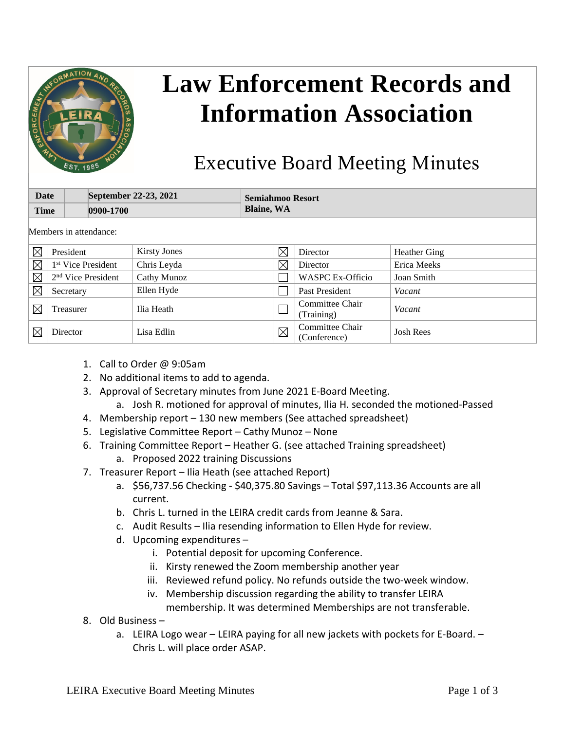

## **Law Enforcement Records and Information Association**

## Executive Board Meeting Minutes

| Date<br><b>Time</b>    |                                | September 22-23, 2021<br>0900-1700 |                     | <b>Semiahmoo Resort</b><br><b>Blaine, WA</b> |             |                                 |                     |
|------------------------|--------------------------------|------------------------------------|---------------------|----------------------------------------------|-------------|---------------------------------|---------------------|
| Members in attendance: |                                |                                    |                     |                                              |             |                                 |                     |
| $\boxtimes$            | President                      |                                    | <b>Kirsty Jones</b> |                                              | $\boxtimes$ | Director                        | <b>Heather Ging</b> |
| $\boxtimes$            | 1 <sup>st</sup> Vice President |                                    | Chris Leyda         |                                              | $\boxtimes$ | Director                        | Erica Meeks         |
| $\boxtimes$            | $2nd$ Vice President           |                                    | Cathy Munoz         |                                              |             | <b>WASPC Ex-Officio</b>         | Joan Smith          |
| $\boxtimes$            | Secretary                      |                                    | Ellen Hyde          |                                              |             | Past President                  | Vacant              |
| $\boxtimes$            | Treasurer                      |                                    | Ilia Heath          |                                              |             | Committee Chair<br>(Training)   | Vacant              |
| $\boxtimes$            | Director                       |                                    | Lisa Edlin          |                                              | $\boxtimes$ | Committee Chair<br>(Conference) | <b>Josh Rees</b>    |

- 1. Call to Order @ 9:05am
- 2. No additional items to add to agenda.
- 3. Approval of Secretary minutes from June 2021 E-Board Meeting.
	- a. Josh R. motioned for approval of minutes, Ilia H. seconded the motioned-Passed
- 4. Membership report 130 new members (See attached spreadsheet)
- 5. Legislative Committee Report Cathy Munoz None
- 6. Training Committee Report Heather G. (see attached Training spreadsheet)
	- a. Proposed 2022 training Discussions
- 7. Treasurer Report Ilia Heath (see attached Report)
	- a. \$56,737.56 Checking \$40,375.80 Savings Total \$97,113.36 Accounts are all current.
	- b. Chris L. turned in the LEIRA credit cards from Jeanne & Sara.
	- c. Audit Results Ilia resending information to Ellen Hyde for review.
	- d. Upcoming expenditures
		- i. Potential deposit for upcoming Conference.
		- ii. Kirsty renewed the Zoom membership another year
		- iii. Reviewed refund policy. No refunds outside the two-week window.
		- iv. Membership discussion regarding the ability to transfer LEIRA
		- membership. It was determined Memberships are not transferable.
- 8. Old Business
	- a. LEIRA Logo wear LEIRA paying for all new jackets with pockets for E-Board. Chris L. will place order ASAP.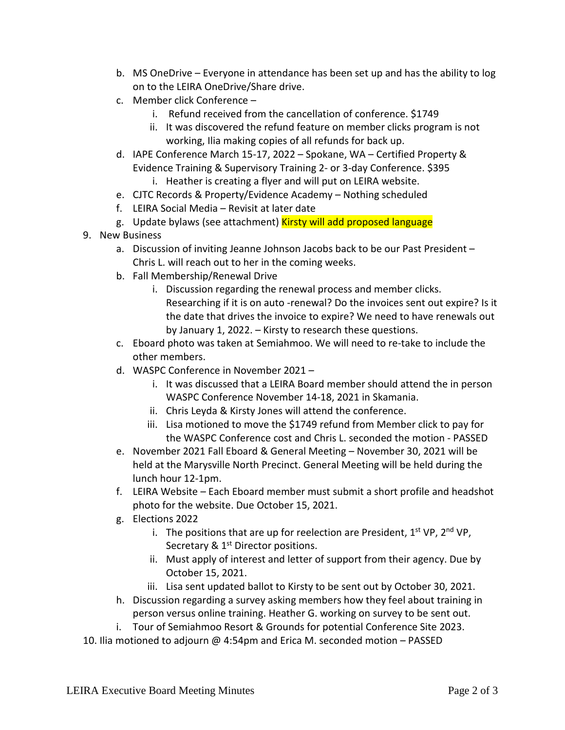- b. MS OneDrive Everyone in attendance has been set up and has the ability to log on to the LEIRA OneDrive/Share drive.
- c. Member click Conference
	- i. Refund received from the cancellation of conference. \$1749
	- ii. It was discovered the refund feature on member clicks program is not working, Ilia making copies of all refunds for back up.
- d. IAPE Conference March 15-17, 2022 Spokane, WA Certified Property & Evidence Training & Supervisory Training 2- or 3-day Conference. \$395 i. Heather is creating a flyer and will put on LEIRA website.
- e. CJTC Records & Property/Evidence Academy Nothing scheduled
- f. LEIRA Social Media Revisit at later date
- g. Update bylaws (see attachment) Kirsty will add proposed language
- 9. New Business
	- a. Discussion of inviting Jeanne Johnson Jacobs back to be our Past President Chris L. will reach out to her in the coming weeks.
	- b. Fall Membership/Renewal Drive
		- i. Discussion regarding the renewal process and member clicks. Researching if it is on auto -renewal? Do the invoices sent out expire? Is it the date that drives the invoice to expire? We need to have renewals out by January 1, 2022. – Kirsty to research these questions.
	- c. Eboard photo was taken at Semiahmoo. We will need to re-take to include the other members.
	- d. WASPC Conference in November 2021
		- i. It was discussed that a LEIRA Board member should attend the in person WASPC Conference November 14-18, 2021 in Skamania.
		- ii. Chris Leyda & Kirsty Jones will attend the conference.
		- iii. Lisa motioned to move the \$1749 refund from Member click to pay for the WASPC Conference cost and Chris L. seconded the motion - PASSED
	- e. November 2021 Fall Eboard & General Meeting November 30, 2021 will be held at the Marysville North Precinct. General Meeting will be held during the lunch hour 12-1pm.
	- f. LEIRA Website Each Eboard member must submit a short profile and headshot photo for the website. Due October 15, 2021.
	- g. Elections 2022
		- i. The positions that are up for reelection are President,  $1^{st}$  VP,  $2^{nd}$  VP, Secretary & 1<sup>st</sup> Director positions.
		- ii. Must apply of interest and letter of support from their agency. Due by October 15, 2021.
		- iii. Lisa sent updated ballot to Kirsty to be sent out by October 30, 2021.
	- h. Discussion regarding a survey asking members how they feel about training in person versus online training. Heather G. working on survey to be sent out.
	- i. Tour of Semiahmoo Resort & Grounds for potential Conference Site 2023.
- 10. Ilia motioned to adjourn @ 4:54pm and Erica M. seconded motion PASSED